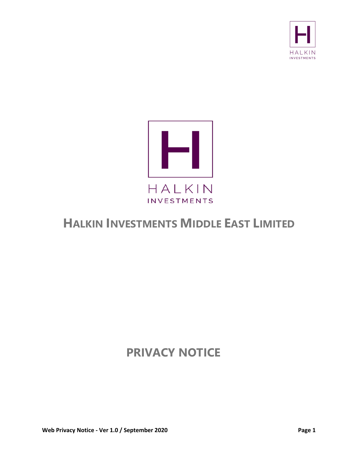



# **HALKIN INVESTMENTS MIDDLE EAST LIMITED**

# **PRIVACY NOTICE**

**Web Privacy Notice - Ver 1.0 / September 2020 Page 1**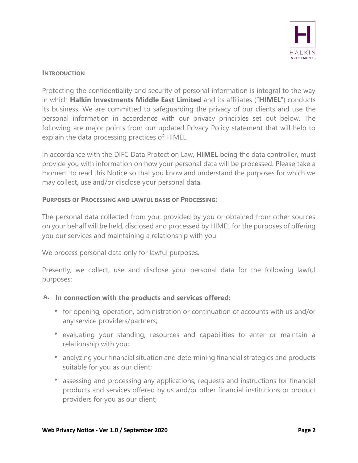

#### **INTRODUCTION**

Protecting the confidentiality and security of personal information is integral to the way in which **Halkin Investments Middle East Limited** and its affiliates ("**HIMEL**") conducts its business. We are committed to safeguarding the privacy of our clients and use the personal information in accordance with our privacy principles set out below. The following are major points from our updated Privacy Policy statement that will help to explain the data processing practices of HIMEL.

In accordance with the DIFC Data Protection Law, **HIMEL** being the data controller, must provide you with information on how your personal data will be processed. Please take a moment to read this Notice so that you know and understand the purposes for which we may collect, use and/or disclose your personal data.

#### **PURPOSES OF PROCESSING AND LAWFUL BASIS OF PROCESSING:**

The personal data collected from you, provided by you or obtained from other sources on your behalf will be held, disclosed and processed by HIMEL for the purposes of offering you our services and maintaining a relationship with you.

We process personal data only for lawful purposes.

Presently, we collect, use and disclose your personal data for the following lawful purposes:

#### **A. In connection with the products and services offered:**

- for opening, operation, administration or continuation of accounts with us and/or any service providers/partners;
- evaluating your standing, resources and capabilities to enter or maintain a relationship with you;
- analyzing your financial situation and determining financial strategies and products suitable for you as our client;
- assessing and processing any applications, requests and instructions for financial products and services offered by us and/or other financial institutions or product providers for you as our client;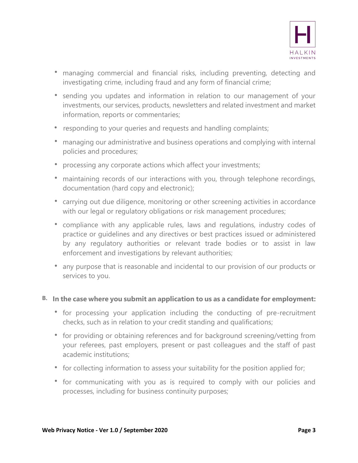

- managing commercial and financial risks, including preventing, detecting and investigating crime, including fraud and any form of financial crime;
- sending you updates and information in relation to our management of your investments, our services, products, newsletters and related investment and market information, reports or commentaries;
- responding to your queries and requests and handling complaints;
- managing our administrative and business operations and complying with internal policies and procedures;
- processing any corporate actions which affect your investments;
- maintaining records of our interactions with you, through telephone recordings, documentation (hard copy and electronic);
- carrying out due diligence, monitoring or other screening activities in accordance with our legal or regulatory obligations or risk management procedures;
- compliance with any applicable rules, laws and regulations, industry codes of practice or guidelines and any directives or best practices issued or administered by any regulatory authorities or relevant trade bodies or to assist in law enforcement and investigations by relevant authorities;
- any purpose that is reasonable and incidental to our provision of our products or services to you.

#### **B. In the case where you submit an application to us as a candidate for employment:**

- for processing your application including the conducting of pre-recruitment checks, such as in relation to your credit standing and qualifications;
- for providing or obtaining references and for background screening/vetting from your referees, past employers, present or past colleagues and the staff of past academic institutions;
- for collecting information to assess your suitability for the position applied for;
- for communicating with you as is required to comply with our policies and processes, including for business continuity purposes;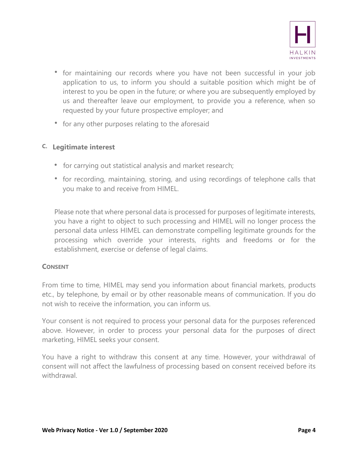

- for maintaining our records where you have not been successful in your job application to us, to inform you should a suitable position which might be of interest to you be open in the future; or where you are subsequently employed by us and thereafter leave our employment, to provide you a reference, when so requested by your future prospective employer; and
- for any other purposes relating to the aforesaid

# **C. Legitimate interest**

- for carrying out statistical analysis and market research;
- for recording, maintaining, storing, and using recordings of telephone calls that you make to and receive from HIMEL.

Please note that where personal data is processed for purposes of legitimate interests, you have a right to object to such processing and HIMEL will no longer process the personal data unless HIMEL can demonstrate compelling legitimate grounds for the processing which override your interests, rights and freedoms or for the establishment, exercise or defense of legal claims.

#### **CONSENT**

From time to time, HIMEL may send you information about financial markets, products etc., by telephone, by email or by other reasonable means of communication. If you do not wish to receive the information, you can inform us.

Your consent is not required to process your personal data for the purposes referenced above. However, in order to process your personal data for the purposes of direct marketing, HIMEL seeks your consent.

You have a right to withdraw this consent at any time. However, your withdrawal of consent will not affect the lawfulness of processing based on consent received before its withdrawal.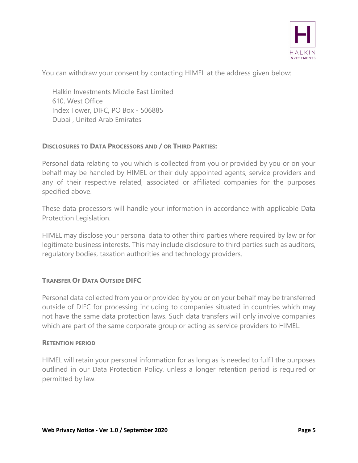

You can withdraw your consent by contacting HIMEL at the address given below:

Halkin Investments Middle East Limited 610, West Office Index Tower, DIFC, PO Box - 506885 Dubai , United Arab Emirates

# **DISCLOSURES TO DATA PROCESSORS AND / OR THIRD PARTIES:**

Personal data relating to you which is collected from you or provided by you or on your behalf may be handled by HIMEL or their duly appointed agents, service providers and any of their respective related, associated or affiliated companies for the purposes specified above.

These data processors will handle your information in accordance with applicable Data Protection Legislation.

HIMEL may disclose your personal data to other third parties where required by law or for legitimate business interests. This may include disclosure to third parties such as auditors, regulatory bodies, taxation authorities and technology providers.

#### **TRANSFER OF DATA OUTSIDE DIFC**

Personal data collected from you or provided by you or on your behalf may be transferred outside of DIFC for processing including to companies situated in countries which may not have the same data protection laws. Such data transfers will only involve companies which are part of the same corporate group or acting as service providers to HIMEL.

#### **RETENTION PERIOD**

HIMEL will retain your personal information for as long as is needed to fulfil the purposes outlined in our Data Protection Policy, unless a longer retention period is required or permitted by law.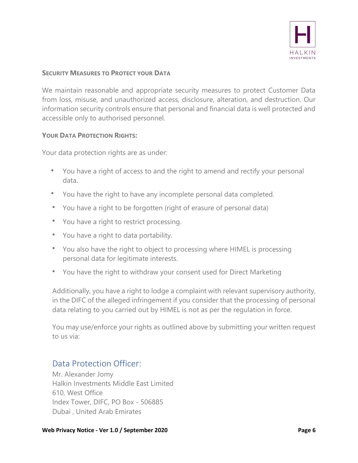

# **SECURITY MEASURES TO PROTECT YOUR DATA**

We maintain reasonable and appropriate security measures to protect Customer Data from loss, misuse, and unauthorized access, disclosure, alteration, and destruction. Our information security controls ensure that personal and financial data is well protected and accessible only to authorised personnel.

#### **YOUR DATA PROTECTION RIGHTS:**

Your data protection rights are as under:

- You have a right of access to and the right to amend and rectify your personal data.
- You have the right to have any incomplete personal data completed.
- You have a right to be forgotten (right of erasure of personal data)
- You have a right to restrict processing.
- You have a right to data portability.
- You also have the right to object to processing where HIMEL is processing personal data for legitimate interests.
- You have the right to withdraw your consent used for Direct Marketing

Additionally, you have a right to lodge a complaint with relevant supervisory authority, in the DIFC of the alleged infringement if you consider that the processing of personal data relating to you carried out by HIMEL is not as per the regulation in force.

You may use/enforce your rights as outlined above by submitting your written request to us via:

# Data Protection Officer:

Mr. Alexander Jomy Halkin Investments Middle East Limited 610, West Office Index Tower, DIFC, PO Box - 506885 Dubai , United Arab Emirates